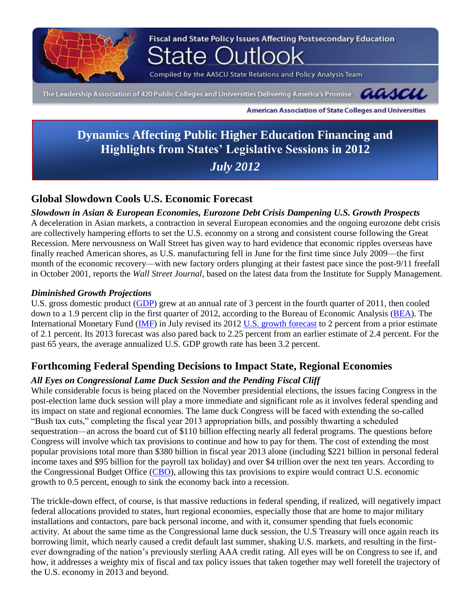

Fiscal and State Policy Issues Affecting Postsecondary Education

Compiled by the AASCU State Relations and Policy Analysis Team

The Leadership Association of 420 Public Colleges and Universities Delivering America's Promise CLACAC



American Association of State Colleges and Universities

**Dynamics Affecting Public Higher Education Financing and Highlights from States' Legislative Sessions in 2012** *July 2012*

## **Global Slowdown Cools U.S. Economic Forecast**

*Slowdown in Asian & European Economies, Eurozone Debt Crisis Dampening U.S. Growth Prospects* A deceleration in Asian markets, a contraction in several European economies and the ongoing eurozone debt crisis are collectively hampering efforts to set the U.S. economy on a strong and consistent course following the Great Recession. Mere nervousness on Wall Street has given way to hard evidence that economic ripples overseas have finally reached American shores, as U.S. manufacturing fell in June for the first time since July 2009—the first month of the economic recovery—with new factory orders plunging at their fastest pace since the post-9/11 freefall in October 2001, reports the *Wall Street Journal*, based on the latest data from the Institute for Supply Management.

### *Diminished Growth Projections*

U.S. gross domestic product [\(GDP\)](http://www.tradingeconomics.com/united-states/gdp-growth) grew at an annual rate of 3 percent in the fourth quarter of 2011, then cooled down to a 1.9 percent clip in the first quarter of 2012, according to the Bureau of Economic Analysis [\(BEA\)](http://www.bea.gov/). The International Monetary Fund [\(IMF\)](http://www.imf.org/external/index.htm) in July revised its 2012 [U.S. growth forecast](http://www.imf.org/external/pubs/ft/survey/so/2012/CAR070312B.htm) to 2 percent from a prior estimate of 2.1 percent. Its 2013 forecast was also pared back to 2.25 percent from an earlier estimate of 2.4 percent. For the past 65 years, the average annualized U.S. GDP growth rate has been 3.2 percent.

## **Forthcoming Federal Spending Decisions to Impact State, Regional Economies**

### *All Eyes on Congressional Lame Duck Session and the Pending Fiscal Cliff*

While considerable focus is being placed on the November presidential elections, the issues facing Congress in the post-election lame duck session will play a more immediate and significant role as it involves federal spending and its impact on state and regional economies. The lame duck Congress will be faced with extending the so-called "Bush tax cuts," completing the fiscal year 2013 appropriation bills, and possibly thwarting a scheduled sequestration—an across the board cut of \$110 billion effecting nearly all federal programs. The questions before Congress will involve which tax provisions to continue and how to pay for them. The cost of extending the most popular provisions total more than \$380 billion in fiscal year 2013 alone (including \$221 billion in personal federal income taxes and \$95 billion for the payroll tax holiday) and over \$4 trillion over the next ten years. According to the Congressional Budget Office [\(CBO\)](http://www.cbo.gov/), allowing this tax provisions to expire would contract U.S. economic growth to 0.5 percent, enough to sink the economy back into a recession.

The trickle-down effect, of course, is that massive reductions in federal spending, if realized, will negatively impact federal allocations provided to states, hurt regional economies, especially those that are home to major military installations and contactors, pare back personal income, and with it, consumer spending that fuels economic activity. At about the same time as the Congressional lame duck session, the U.S Treasury will once again reach its borrowing limit, which nearly caused a credit default last summer, shaking U.S. markets, and resulting in the firstever downgrading of the nation's previously sterling AAA credit rating. All eyes will be on Congress to see if, and how, it addresses a weighty mix of fiscal and tax policy issues that taken together may well foretell the trajectory of the U.S. economy in 2013 and beyond.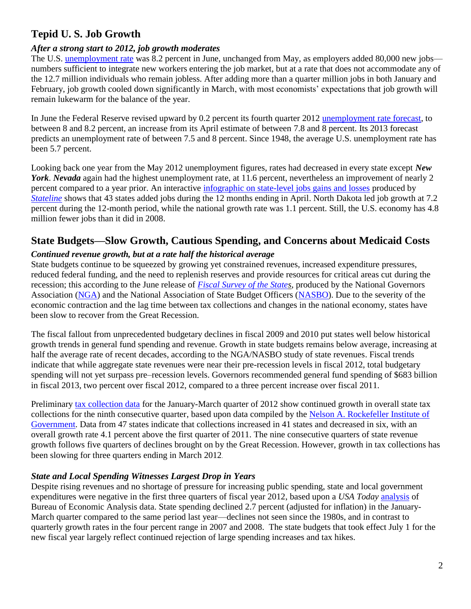# **Tepid U. S. Job Growth**

## *After a strong start to 2012, job growth moderates*

The U.S. [unemployment rate](http://www.tradingeconomics.com/united-states/unemployment-rate) was 8.2 percent in June, unchanged from May, as employers added 80,000 new jobs numbers sufficient to integrate new workers entering the job market, but at a rate that does not accommodate any of the 12.7 million individuals who remain jobless. After adding more than a quarter million jobs in both January and February, job growth cooled down significantly in March, with most economists' expectations that job growth will remain lukewarm for the balance of the year.

In June the Federal Reserve revised upward by 0.2 percent its fourth quarter 2012 [unemployment rate forecast,](http://www.federalreserve.gov/monetarypolicy/files/fomcprojtabl20120620.pdf) to between 8 and 8.2 percent, an increase from its April estimate of between 7.8 and 8 percent. Its 2013 forecast predicts an unemployment rate of between 7.5 and 8 percent. Since 1948, the average U.S. unemployment rate has been 5.7 percent.

Looking back one year from the May 2012 unemployment figures, rates had decreased in every state except *New York*. *Nevada* again had the highest unemployment rate, at 11.6 percent, nevertheless an improvement of nearly 2 percent compared to a year prior. An interactive [infographic on state-level jobs gains and losses](http://www.pewstates.org/projects/stateline/headlines/interactive-job-gains-and-losses-2007-2012-85899390564) produced by *[Stateline](http://www.pewstates.org/projects/stateline)* shows that 43 states added jobs during the 12 months ending in April. North Dakota led job growth at 7.2 percent during the 12-month period, while the national growth rate was 1.1 percent. Still, the U.S. economy has 4.8 million fewer jobs than it did in 2008.

# **State Budgets—Slow Growth, Cautious Spending, and Concerns about Medicaid Costs**

## *Continued revenue growth, but at a rate half the historical average*

State budgets continue to be squeezed by growing yet constrained revenues, increased expenditure pressures, reduced federal funding, and the need to replenish reserves and provide resources for critical areas cut during the recession; this according to the June release of *[Fiscal Survey of the States](http://www.nasbo.org/publications-data/fiscal-survey-states/fiscal-survey-states-spring-2012)*, produced by the National Governors Association [\(NGA\)](http://www.nga.org/cms/home.html) and the National Association of State Budget Officers [\(NASBO\)](http://www.nasbo.org/). Due to the severity of the economic contraction and the lag time between tax collections and changes in the national economy, states have been slow to recover from the Great Recession.

The fiscal fallout from unprecedented budgetary declines in fiscal 2009 and 2010 put states well below historical growth trends in general fund spending and revenue. Growth in state budgets remains below average, increasing at half the average rate of recent decades, according to the NGA/NASBO study of state revenues. Fiscal trends indicate that while aggregate state revenues were near their pre-recession levels in fiscal 2012, total budgetary spending will not yet surpass pre–recession levels. Governors recommended general fund spending of \$683 billion in fiscal 2013, two percent over fiscal 2012, compared to a three percent increase over fiscal 2011.

Preliminary [tax collection data](http://www.rockinst.org/newsroom/data_alerts/2012/2012-06-07.aspx) for the January-March quarter of 2012 show continued growth in overall state tax collections for the ninth consecutive quarter, based upon data compiled by the [Nelson A. Rockefeller Institute of](http://www.rockinst.org/)  [Government.](http://www.rockinst.org/) Data from 47 states indicate that collections increased in 41 states and decreased in six, with an overall growth rate 4.1 percent above the first quarter of 2011. The nine consecutive quarters of state revenue growth follows five quarters of declines brought on by the Great Recession. However, growth in tax collections has been slowing for three quarters ending in March 2012.

## *State and Local Spending Witnesses Largest Drop in Years*

Despite rising revenues and no shortage of pressure for increasing public spending, state and local government expenditures were negative in the first three quarters of fiscal year 2012, based upon a *USA Today* [analysis](http://www.usatoday.com/news/nation/story/2012-06-19/state-spending/55695302/1) of Bureau of Economic Analysis data. State spending declined 2.7 percent (adjusted for inflation) in the January-March quarter compared to the same period last year—declines not seen since the 1980s, and in contrast to quarterly growth rates in the four percent range in 2007 and 2008. The state budgets that took effect July 1 for the new fiscal year largely reflect continued rejection of large spending increases and tax hikes.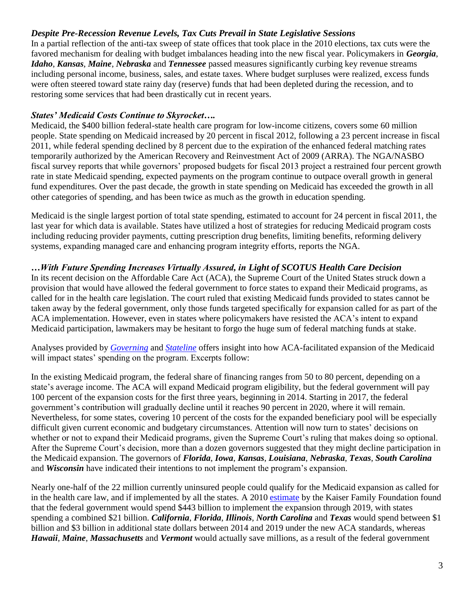## *Despite Pre-Recession Revenue Levels, Tax Cuts Prevail in State Legislative Sessions*

In a partial reflection of the anti-tax sweep of state offices that took place in the 2010 elections, tax cuts were the favored mechanism for dealing with budget imbalances heading into the new fiscal year. Policymakers in *Georgia*, *Idaho*, *Kansas*, *Maine*, *Nebraska* and *Tennessee* passed measures significantly curbing key revenue streams including personal income, business, sales, and estate taxes. Where budget surpluses were realized, excess funds were often steered toward state rainy day (reserve) funds that had been depleted during the recession, and to restoring some services that had been drastically cut in recent years.

### *States' Medicaid Costs Continue to Skyrocket….*

Medicaid, the \$400 billion federal-state health care program for low-income citizens, covers some 60 million people. State spending on Medicaid increased by 20 percent in fiscal 2012, following a 23 percent increase in fiscal 2011, while federal spending declined by 8 percent due to the expiration of the enhanced federal matching rates temporarily authorized by the American Recovery and Reinvestment Act of 2009 (ARRA). The NGA/NASBO fiscal survey reports that while governors' proposed budgets for fiscal 2013 project a restrained four percent growth rate in state Medicaid spending, expected payments on the program continue to outpace overall growth in general fund expenditures. Over the past decade, the growth in state spending on Medicaid has exceeded the growth in all other categories of spending, and has been twice as much as the growth in education spending.

Medicaid is the single largest portion of total state spending, estimated to account for 24 percent in fiscal 2011, the last year for which data is available. States have utilized a host of strategies for reducing Medicaid program costs including reducing provider payments, cutting prescription drug benefits, limiting benefits, reforming delivery systems, expanding managed care and enhancing program integrity efforts, reports the NGA.

### *…With Future Spending Increases Virtually Assured, in Light of SCOTUS Health Care Decision*

In its recent decision on the Affordable Care Act (ACA), the Supreme Court of the United States struck down a provision that would have allowed the federal government to force states to expand their Medicaid programs, as called for in the health care legislation. The court ruled that existing Medicaid funds provided to states cannot be taken away by the federal government, only those funds targeted specifically for expansion called for as part of the ACA implementation. However, even in states where policymakers have resisted the ACA's intent to expand Medicaid participation, lawmakers may be hesitant to forgo the huge sum of federal matching funds at stake.

Analyses provided by *[Governing](http://www.governing.com/blogs/view/gov-which-states-have-most-at-stake-in-medicaid-expansion.html)* and *[Stateline](http://www.pewstates.org/projects/stateline/headlines/for-some-states-medicaid-expansion-may-be-a-tough-fiscal-call-85899404110)* offers insight into how ACA-facilitated expansion of the Medicaid will impact states' spending on the program. Excerpts follow:

In the existing Medicaid program, the federal share of financing ranges from 50 to 80 percent, depending on a state's average income. The ACA will expand Medicaid program eligibility, but the federal government will pay 100 percent of the expansion costs for the first three years, beginning in 2014. Starting in 2017, the federal government's contribution will gradually decline until it reaches 90 percent in 2020, where it will remain. Nevertheless, for some states, covering 10 percent of the costs for the expanded beneficiary pool will be especially difficult given current economic and budgetary circumstances. Attention will now turn to states' decisions on whether or not to expand their Medicaid programs, given the Supreme Court's ruling that makes doing so optional. After the Supreme Court's decision, more than a dozen governors suggested that they might decline participation in the Medicaid expansion. The governors of *Florida*, *Iowa*, *Kansas*, *Louisiana*, *Nebraska*, *Texas*, *South Carolina* and *Wisconsin* have indicated their intentions to not implement the program's expansion.

Nearly one-half of the 22 million currently uninsured people could qualify for the Medicaid expansion as called for in the health care law, and if implemented by all the states. A 2010 [estimate](http://www.kff.org/healthreform/upload/Medicaid-Coverage-and-Spending-in-Health-Reform-National-and-State-By-State-Results-for-Adults-at-or-Below-133-FPL.pdf) by the Kaiser Family Foundation found that the federal government would spend \$443 billion to implement the expansion through 2019, with states spending a combined \$21 billion. *California*, *Florida*, *Illinois*, *North Carolina* and *Texas* would spend between \$1 billion and \$3 billion in additional state dollars between 2014 and 2019 under the new ACA standards, whereas *Hawaii*, *Maine*, *Massachusetts* and *Vermont* would actually save millions, as a result of the federal government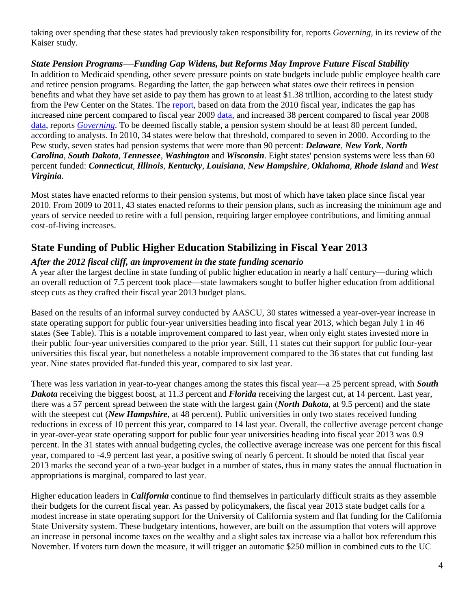taking over spending that these states had previously taken responsibility for, reports *Governing*, in its review of the Kaiser study.

*State Pension Programs***—***Funding Gap Widens, but Reforms May Improve Future Fiscal Stability* In addition to Medicaid spending, other severe pressure points on state budgets include public employee health care and retiree pension programs. Regarding the latter, the gap between what states owe their retirees in pension benefits and what they have set aside to pay them has grown to at least \$1.38 trillion, according to the latest study from the Pew Center on the States. The [report,](http://www.pewstates.org/research/reports/the-widening-gap-update-85899398241) based on data from the 2010 fiscal year, indicates the gap has increased nine percent compared to fiscal year 2009 [data,](http://www.pewtrusts.org/our_work_report_detail.aspx?id=85899359079&category=542) and increased 38 percent compared to fiscal year 2008 [data,](http://www.pewstates.org/uploadedFiles/PCS_Assets/2010/Trillion_Dollar_Gap_Underfunded_State_Retirement_Systems_and_the_Roads_to_Reform.pdf) reports *[Governing](http://www.governing.com/blogs/view/gov-pew-report-pension-and-benefits-gap-continues-to-widen.html)*. To be deemed fiscally stable, a pension system should be at least 80 percent funded, according to analysts. In 2010, 34 states were below that threshold, compared to seven in 2000. According to the Pew study, seven states had pension systems that were more than 90 percent: *Delaware*, *New York*, *North Carolina*, *South Dakota*, *Tennessee*, *Washington* and *Wisconsin*. Eight states' pension systems were less than 60 percent funded: *Connecticut*, *Illinois*, *Kentucky*, *Louisiana*, *New Hampshire*, *Oklahoma*, *Rhode Island* and *West Virginia*.

Most states have enacted reforms to their pension systems, but most of which have taken place since fiscal year 2010. From 2009 to 2011, 43 states enacted reforms to their pension plans, such as increasing the minimum age and years of service needed to retire with a full pension, requiring larger employee contributions, and limiting annual cost-of-living increases.

# **State Funding of Public Higher Education Stabilizing in Fiscal Year 2013**

## *After the 2012 fiscal cliff, an improvement in the state funding scenario*

A year after the largest decline in state funding of public higher education in nearly a half century—during which an overall reduction of 7.5 percent took place—state lawmakers sought to buffer higher education from additional steep cuts as they crafted their fiscal year 2013 budget plans.

Based on the results of an informal survey conducted by AASCU, 30 states witnessed a year-over-year increase in state operating support for public four-year universities heading into fiscal year 2013, which began July 1 in 46 states (See Table). This is a notable improvement compared to last year, when only eight states invested more in their public four-year universities compared to the prior year. Still, 11 states cut their support for public four-year universities this fiscal year, but nonetheless a notable improvement compared to the 36 states that cut funding last year. Nine states provided flat-funded this year, compared to six last year.

There was less variation in year-to-year changes among the states this fiscal year—a 25 percent spread, with *South Dakota* receiving the biggest boost, at 11.3 percent and *Florida* receiving the largest cut, at 14 percent. Last year, there was a 57 percent spread between the state with the largest gain (*North Dakota*, at 9.5 percent) and the state with the steepest cut (*New Hampshire*, at 48 percent). Public universities in only two states received funding reductions in excess of 10 percent this year, compared to 14 last year. Overall, the collective average percent change in year-over-year state operating support for public four year universities heading into fiscal year 2013 was 0.9 percent. In the 31 states with annual budgeting cycles, the collective average increase was one percent for this fiscal year, compared to -4.9 percent last year, a positive swing of nearly 6 percent. It should be noted that fiscal year 2013 marks the second year of a two-year budget in a number of states, thus in many states the annual fluctuation in appropriations is marginal, compared to last year.

Higher education leaders in *California* continue to find themselves in particularly difficult straits as they assemble their budgets for the current fiscal year. As passed by policymakers, the fiscal year 2013 state budget calls for a modest increase in state operating support for the University of California system and flat funding for the California State University system. These budgetary intentions, however, are built on the assumption that voters will approve an increase in personal income taxes on the wealthy and a slight sales tax increase via a ballot box referendum this November. If voters turn down the measure, it will trigger an automatic \$250 million in combined cuts to the UC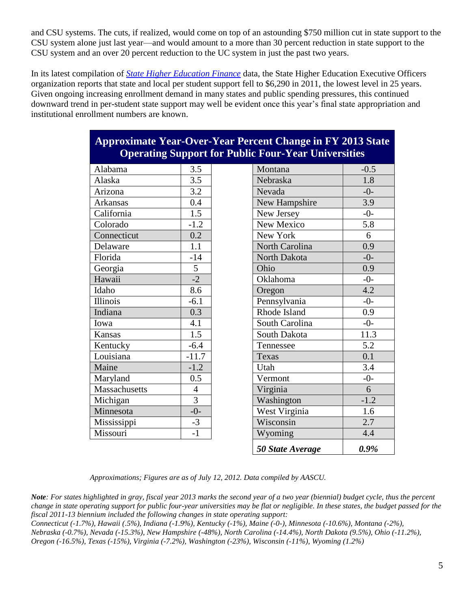and CSU systems. The cuts, if realized, would come on top of an astounding \$750 million cut in state support to the CSU system alone just last year—and would amount to a more than 30 percent reduction in state support to the CSU system and an over 20 percent reduction to the UC system in just the past two years.

In its latest compilation of *[State Higher Education Finance](http://www.sheeo.org/finance/shef/SHEF_FY11.pdf)* data, the State Higher Education Executive Officers organization reports that state and local per student support fell to \$6,290 in 2011, the lowest level in 25 years. Given ongoing increasing enrollment demand in many states and public spending pressures, this continued downward trend in per-student state support may well be evident once this year's final state appropriation and institutional enrollment numbers are known.

## **Approximate Year-Over-Year Percent Change in FY 2013 State Operating Support for Public Four-Year Universities**

| Alabama       | 3.5            | Montana        | $-0.$            |
|---------------|----------------|----------------|------------------|
| Alaska        | 3.5            | Nebraska       | 1.5              |
| Arizona       | 3.2            | Nevada         | $-0$             |
| Arkansas      | 0.4            | New Hampshire  | 3.9              |
| California    | 1.5            | New Jersey     | $-0$             |
| Colorado      | $-1.2$         | New Mexico     | 5.3              |
| Connecticut   | 0.2            | New York       | 6                |
| Delaware      | 1.1            | North Carolina | 0.9              |
| Florida       | $-14$          | North Dakota   | $-0$             |
| Georgia       | 5              | Ohio           | 0.9              |
| Hawaii        | $-2$           | Oklahoma       | $-0$             |
| Idaho         | 8.6            | Oregon         | 4.2              |
| Illinois      | $-6.1$         | Pennsylvania   | $-0$             |
| Indiana       | 0.3            | Rhode Island   | 0.9              |
| Iowa          | 4.1            | South Carolina | $-0$             |
| Kansas        | 1.5            | South Dakota   | 11.              |
| Kentucky      | $-6.4$         | Tennessee      | 5.2              |
| Louisiana     | $-11.7$        | Texas          | $\overline{0}$ . |
| Maine         | $-1.2$         | Utah           | 3.4              |
| Maryland      | 0.5            | Vermont        | $-0$             |
| Massachusetts | $\overline{4}$ | Virginia       | 6                |
| Michigan      | $\overline{3}$ | Washington     | $-1.$            |
| Minnesota     | $-0-$          | West Virginia  | 1.0              |
| Mississippi   | $-3$           | Wisconsin      | 2.7              |
| Missouri      | $-1$           | Wyoming        | $\overline{4}$ . |
|               |                |                |                  |

| Alabama         | 3.5            | Montana          | $-0.5$ |
|-----------------|----------------|------------------|--------|
| Alaska          | 3.5            | Nebraska         | 1.8    |
| Arizona         | 3.2            | Nevada           | $-0-$  |
| <b>Arkansas</b> | 0.4            | New Hampshire    | 3.9    |
| California      | 1.5            | New Jersey       | $-0-$  |
| Colorado        | $-1.2$         | New Mexico       | 5.8    |
| Connecticut     | 0.2            | New York         | 6      |
| Delaware        | 1.1            | North Carolina   | 0.9    |
| Florida         | $-14$          | North Dakota     | $-0-$  |
| Georgia         | 5              | Ohio             | 0.9    |
| Hawaii          | $-2$           | Oklahoma         | $-0-$  |
| Idaho           | 8.6            | Oregon           | 4.2    |
| <b>Illinois</b> | $-6.1$         | Pennsylvania     | $-0-$  |
| Indiana         | 0.3            | Rhode Island     | 0.9    |
| Iowa            | 4.1            | South Carolina   | $-0-$  |
| Kansas          | 1.5            | South Dakota     | 11.3   |
| Kentucky        | $-6.4$         | Tennessee        | 5.2    |
| Louisiana       | $-11.7$        | Texas            | 0.1    |
| Maine           | $-1.2$         | Utah             | 3.4    |
| Maryland        | 0.5            | Vermont          | $-0-$  |
| Massachusetts   | $\overline{4}$ | Virginia         | 6      |
| Michigan        | $\overline{3}$ | Washington       | $-1.2$ |
| Minnesota       | $-0-$          | West Virginia    | 1.6    |
| Mississippi     | $-3$           | Wisconsin        | 2.7    |
| Missouri        | $-1$           | Wyoming          | 4.4    |
|                 |                | 50 State Average | 0.9%   |

*Approximations; Figures are as of July 12, 2012. Data compiled by AASCU.*

*Note: For states highlighted in gray, fiscal year 2013 marks the second year of a two year (biennial) budget cycle, thus the percent change in state operating support for public four-year universities may be flat or negligible. In these states, the budget passed for the fiscal 2011-13 biennium included the following changes in state operating support:* 

*Connecticut (-1.7%), Hawaii (.5%), Indiana (-1.9%), Kentucky (-1%), Maine (-0-), Minnesota (-10.6%), Montana (-2%), Nebraska (-0.7%), Nevada (-15.3%), New Hampshire (-48%), North Carolina (-14.4%), North Dakota (9.5%), Ohio (-11.2%), Oregon (-16.5%), Texas (-15%), Virginia (-7.2%), Washington (-23%), Wisconsin (-11%), Wyoming (1.2%)*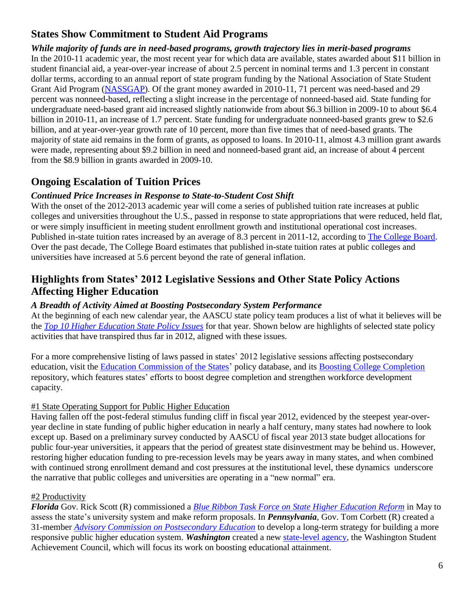# **States Show Commitment to Student Aid Programs**

*While majority of funds are in need-based programs, growth trajectory lies in merit-based programs* In the 2010-11 academic year, the most recent year for which data are available, states awarded about \$11 billion in student financial aid, a year-over-year increase of about 2.5 percent in nominal terms and 1.3 percent in constant dollar terms, according to an annual report of state program funding by the National Association of State Student Grant Aid Program [\(NASSGAP\)](http://nassgap.org/). Of the grant money awarded in 2010-11, 71 percent was need-based and 29 percent was nonneed-based, reflecting a slight increase in the percentage of nonneed-based aid. State funding for undergraduate need-based grant aid increased slightly nationwide from about \$6.3 billion in 2009-10 to about \$6.4 billion in 2010-11, an increase of 1.7 percent. State funding for undergraduate nonneed-based grants grew to \$2.6 billion, and at year-over-year growth rate of 10 percent, more than five times that of need-based grants. The majority of state aid remains in the form of grants, as opposed to loans. In 2010-11, almost 4.3 million grant awards were made, representing about \$9.2 billion in need and nonneed-based grant aid, an increase of about 4 percent from the \$8.9 billion in grants awarded in 2009-10.

# **Ongoing Escalation of Tuition Prices**

## *Continued Price Increases in Response to State-to-Student Cost Shift*

With the onset of the 2012-2013 academic year will come a series of published tuition rate increases at public colleges and universities throughout the U.S., passed in response to state appropriations that were reduced, held flat, or were simply insufficient in meeting student enrollment growth and institutional operational cost increases. Published in-state tuition rates increased by an average of 8.3 percent in 2011-12, according to [The College Board.](http://trends.collegeboard.org/college_pricing/) Over the past decade, The College Board estimates that published in-state tuition rates at public colleges and universities have increased at 5.6 percent beyond the rate of general inflation.

## **Highlights from States' 2012 Legislative Sessions and Other State Policy Actions Affecting Higher Education**

### *A Breadth of Activity Aimed at Boosting Postsecondary System Performance*

At the beginning of each new calendar year, the AASCU state policy team produces a list of what it believes will be the *[Top 10 Higher Education State Policy Issues](http://www.aascu.org/uploadedFiles/AASCU/Content/Root/PolicyAndAdvocacy/PolicyPublications/Policy_Matters/Top_Ten_State_Policy_Issues_2012.pdf)* for that year. Shown below are highlights of selected state policy activities that have transpired thus far in 2012, aligned with these issues.

For a more comprehensive listing of laws passed in states' 2012 legislative sessions affecting postsecondary education, visit the [Education Commission of the States](http://www.ecs.org/ecs/ecscat.nsf/Web2012All?OpenView&Count=-1)' policy database, and its [Boosting College Completion](https://boostingcollegecompletion.socrata.com/Education/State-Completion-and-Workforce-Policy-Database/sfgn-z6ua) repository, which features states' efforts to boost degree completion and strengthen workforce development capacity.

### #1 State Operating Support for Public Higher Education

Having fallen off the post-federal stimulus funding cliff in fiscal year 2012, evidenced by the steepest year-overyear decline in state funding of public higher education in nearly a half century, many states had nowhere to look except up. Based on a preliminary survey conducted by AASCU of fiscal year 2013 state budget allocations for public four-year universities, it appears that the period of greatest state disinvestment may be behind us. However, restoring higher education funding to pre-recession levels may be years away in many states, and when combined with continued strong enrollment demand and cost pressures at the institutional level, these dynamics underscore the narrative that public colleges and universities are operating in a "new normal" era.

## #2 Productivity

*Florida* Gov. Rick Scott (R) commissioned a *Blue Ribbon Task Force on [State Higher Education Reform](http://www.flhighered.org/)* in May to assess the state's university system and make reform proposals. In *Pennsylvania*, Gov. Tom Corbett (R) created a 31-member *[Advisory Commission on Postsecondary Education](http://www.education.state.pa.us/portal/server.pt/community/pde-acpse/20753)* to develop a long-term strategy for building a more responsive public higher education system. *Washington* created a new [state-level agency,](http://www.wsac.wa.gov/sites/default/files/NewAgencyInfoBrief.pdf) the Washington Student Achievement Council, which will focus its work on boosting educational attainment.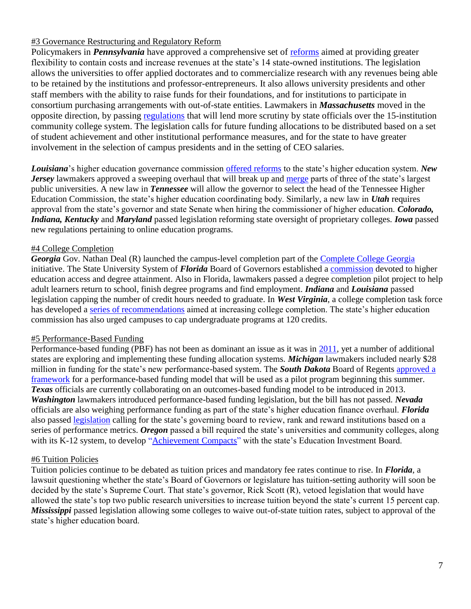### #3 Governance Restructuring and Regulatory Reform

Policymakers in *Pennsylvania* have approved a comprehensive set of [reforms](http://articles.philly.com/2012-07-08/news/32578415_1_kenn-marshall-faculty-union-professors) aimed at providing greater flexibility to contain costs and increase revenues at the state's 14 state-owned institutions. The legislation allows the universities to offer applied doctorates and to commercialize research with any revenues being able to be retained by the institutions and professor-entrepreneurs. It also allows university presidents and other staff members with the ability to raise funds for their foundations, and for institutions to participate in consortium purchasing arrangements with out-of-state entities. Lawmakers in *Massachusetts* moved in the opposite direction, by passing [regulations](http://articles.boston.com/2012-07-03/metro/32509043_1_community-colleges-graduation-rates-public-colleges) that will lend more scrutiny by state officials over the 15-institution community college system. The legislation calls for future funding allocations to be distributed based on a set of student achievement and other institutional performance measures, and for the state to have greater involvement in the selection of campus presidents and in the setting of CEO salaries.

*Louisiana*'s higher education governance commission [offered reforms](http://wwwprd1.doa.louisiana.gov/LaNews/PublicPages/Dsp_PressRelease_Display.cfm?PressReleaseID=3041&Rec_ID=60) to the state's higher education system. *New Jersey* lawmakers approved a sweeping overhaul that will break up and [merge](http://www.nj.com/news/index.ssf/2012/06/nj_assembly_passes_bill_for_ru.html) parts of three of the state's largest public universities. A new law in *Tennessee* will allow the governor to select the head of the Tennessee Higher Education Commission, the state's higher education coordinating body. Similarly, a new law in *Utah* requires approval from the state's governor and state Senate when hiring the commissioner of higher education. *Colorado, Indiana, Kentucky* and *Maryland* passed legislation reforming state oversight of proprietary colleges. *Iowa* passed new regulations pertaining to online education programs.

### #4 College Completion

*Georgia* Gov. Nathan Deal (R) launched the campus-level completion part of the [Complete College Georgia](http://gov.georgia.gov/00/press/detail/0,2668,165937316_180136645_181836313,00.html) initiative. The State University System of *Florida* Board of Governors established a [commission](http://www.tampabay.com/news/education/college/new-florida-higher-ed-task-force-to-push-baccalaureate-degrees/1230537) devoted to higher education access and degree attainment. Also in Florida, lawmakers passed a degree completion pilot project to help adult learners return to school, finish degree programs and find employment. *Indiana* and *Louisiana* passed legislation capping the number of credit hours needed to graduate. In *West Virginia*, a college completion task force has developed a [series of recommendations](https://www.wvhepc.org/resources/Educating%20West%20Virginia%20is%20Everyone%E2%80%99s%20Business%20Report%20from%20the%20West%20Virginia%20College%20Completion%20Task%20Force.pdf) aimed at increasing college completion. The state's higher education commission has also urged campuses to cap undergraduate programs at 120 credits.

#### #5 Performance-Based Funding

Performance-based funding (PBF) has not been as dominant an issue as it was in [2011,](http://www.aascu.org/uploadedFiles/AASCU/Content/Root/PolicyAndAdvocacy/PolicyPublications/Performance_Funding_AASCU_June2011.pdf) yet a number of additional states are exploring and implementing these funding allocation systems. *Michigan* lawmakers included nearly \$28 million in funding for the state's new performance-based system. The *South Dakota* Board of Regents [approved a](http://www.sdbor.edu/mediapubs/pressreleases/documents/032912Performance.pdf)  [framework](http://www.sdbor.edu/mediapubs/pressreleases/documents/032912Performance.pdf) for a performance-based funding model that will be used as a pilot program beginning this summer. *Texas* officials are currently collaborating on an outcomes-based funding model to be introduced in 2013. *Washington* lawmakers introduced performance-based funding legislation, but the bill has not passed. *Nevada* officials are also weighing performance funding as part of the state's higher education finance overhaul. *Florida*  also passed [legislation](http://myfloridahouse.gov/Sections/Documents/loaddoc.aspx?FileName=_h7135er.docx&DocumentType=Bill&BillNumber=7135&Session=2012) calling for the state's governing board to review, rank and reward institutions based on a series of performance metrics. *Oregon* passed a bill required the state's universities and community colleges, along with its K-12 system, to develop ["Achievement Compacts"](http://www.oregon.gov/gov/oeib/docs/pfachievementcompactsqanda.pdf?ga=t) with the state's Education Investment Board.

### #6 Tuition Policies

Tuition policies continue to be debated as tuition prices and mandatory fee rates continue to rise. In *Florida*, a lawsuit questioning whether the state's Board of Governors or legislature has tuition-setting authority will soon be decided by the state's Supreme Court. That state's governor, Rick Scott (R), vetoed legislation that would have allowed the state's top two public research universities to increase tuition beyond the state's current 15 percent cap. *Mississippi* passed legislation allowing some colleges to waive out-of-state tuition rates, subject to approval of the state's higher education board.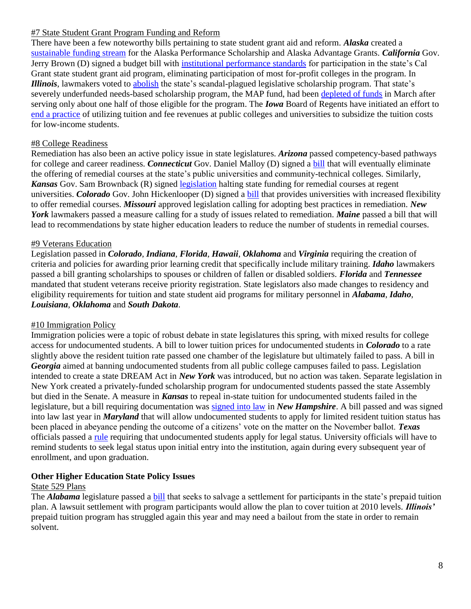#### #7 State Student Grant Program Funding and Reform

There have been a few noteworthy bills pertaining to state student grant aid and reform. *Alaska* created a [sustainable funding stream](http://gov.alaska.gov/parnell/press-room/full-press-release.html?pr=6098) for the Alaska Performance Scholarship and Alaska Advantage Grants. *California* Gov. Jerry Brown (D) signed a budget bill with [institutional performance standards](http://www.pewstates.org/projects/stateline/headlines/california-drops-most-for-profit-colleges-from-scholarship-pool-85899402322) for participation in the state's Cal Grant state student grant aid program, eliminating participation of most for-profit colleges in the program. In *Illinois*, lawmakers voted to [abolish](http://articles.chicagotribune.com/2012-05-04/news/ct-met-illinois-legislative-scholarship-ban-20120504_1_scholarship-program-political-scholarships-tuition-waivers) the state's scandal-plagued legislative scholarship program. That state's severely underfunded needs-based scholarship program, the MAP fund, had been [depleted of funds](http://articles.chicagotribune.com/2012-03-21/news/ct-met-map-grant-20120321_1_free-application-federal-student-aid-financial-aid) in March after serving only about one half of those eligible for the program. The *Iowa* Board of Regents have initiated an effort to [end a practice](http://www.businessweek.com/ap/2012-06/D9V7R2T02.htm) of utilizing tuition and fee revenues at public colleges and universities to subsidize the tuition costs for low-income students.

#### #8 College Readiness

Remediation has also been an active policy issue in state legislatures. *Arizona* passed competency-based pathways for college and career readiness. *Connecticut* Gov. Daniel Malloy (D) signed a [bill](http://www.cga.ct.gov/2012/ACT/PA/2012PA-00040-R00SB-00040-PA.htm) that will eventually eliminate the offering of remedial courses at the state's public universities and community-technical colleges. Similarly, *Kansas* Gov. Sam Brownback (R) signed [legislation](http://kslegislature.org/li/b2011_12/measures/documents/hb2745_01_0000.pdf) halting state funding for remedial courses at regent universities. *Colorado* Gov. John Hickenlooper (D) signed a [bill](http://www.leg.state.co.us/CLICS/CLICS2012A/csl.nsf/fsbillcont3/64C3361BBB1CA6C187257981007DBE2F?Open&file=1155_enr.pdf) that provides universities with increased flexibility to offer remedial courses. *Missouri* approved legislation calling for adopting best practices in remediation. *New York* lawmakers passed a measure calling for a study of issues related to remediation. *Maine* passed a bill that will lead to recommendations by state higher education leaders to reduce the number of students in remedial courses.

#### #9 Veterans Education

Legislation passed in *Colorado*, *Indiana*, *Florida*, *Hawaii*, *Oklahoma* and *Virginia* requiring the creation of criteria and policies for awarding prior learning credit that specifically include military training. *Idaho* lawmakers passed a bill granting scholarships to spouses or children of fallen or disabled soldiers. *Florida* and *Tennessee* mandated that student veterans receive priority registration. State legislators also made changes to residency and eligibility requirements for tuition and state student aid programs for military personnel in *Alabama*, *Idaho*, *Louisiana*, *Oklahoma* and *South Dakota*.

#### #10 Immigration Policy

Immigration policies were a topic of robust debate in state legislatures this spring, with mixed results for college access for undocumented students. A bill to lower tuition prices for undocumented students in *Colorado* to a rate slightly above the resident tuition rate passed one chamber of the legislature but ultimately failed to pass. A bill in *Georgia* aimed at banning undocumented students from all public college campuses failed to pass. Legislation intended to create a state DREAM Act in *New York* was introduced, but no action was taken. Separate legislation in New York created a privately-funded scholarship program for undocumented students passed the state Assembly but died in the Senate. A measure in *Kansas* to repeal in-state tuition for undocumented students failed in the legislature, but a bill requiring documentation was [signed into law](http://www.unionleader.com/article/20120626/NEWS06/706279990) in *New Hampshire*. A bill passed and was signed into law last year in *Maryland* that will allow undocumented students to apply for limited resident tuition status has been placed in abeyance pending the outcome of a citizens' vote on the matter on the November ballot. *Texas*  officials passed a [rule](http://www.sos.state.tx.us/texreg/pdf/backview/0224/0224adop.pdf) requiring that undocumented students apply for legal status. University officials will have to remind students to seek legal status upon initial entry into the institution, again during every subsequent year of enrollment, and upon graduation.

#### **Other Higher Education State Policy Issues**

#### State 529 Plans

The *Alabama* legislature passed a [bill](http://blog.al.com/spotnews/2012/04/lawmakers_approve_bill_to_salv.html) that seeks to salvage a settlement for participants in the state's prepaid tuition plan. A lawsuit settlement with program participants would allow the plan to cover tuition at 2010 levels. *Illinois'* prepaid tuition program has struggled again this year and may need a bailout from the state in order to remain solvent.